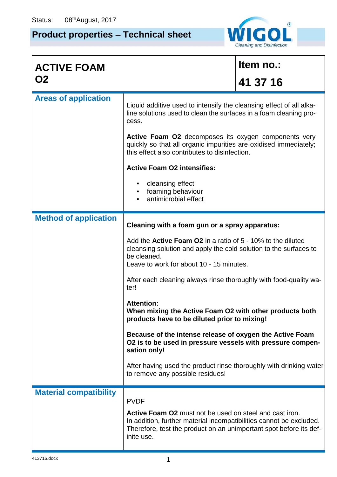## **Product properties – Technical sheet**



| <b>ACTIVE FOAM</b>            |                                                                                                                                                                                                                    | Item no.: |  |  |  |  |
|-------------------------------|--------------------------------------------------------------------------------------------------------------------------------------------------------------------------------------------------------------------|-----------|--|--|--|--|
| <b>O2</b>                     |                                                                                                                                                                                                                    | 41 37 16  |  |  |  |  |
| <b>Areas of application</b>   | Liquid additive used to intensify the cleansing effect of all alka-<br>line solutions used to clean the surfaces in a foam cleaning pro-<br>cess.                                                                  |           |  |  |  |  |
|                               | Active Foam O2 decomposes its oxygen components very<br>quickly so that all organic impurities are oxidised immediately;<br>this effect also contributes to disinfection.                                          |           |  |  |  |  |
|                               | <b>Active Foam O2 intensifies:</b>                                                                                                                                                                                 |           |  |  |  |  |
|                               | cleansing effect<br>foaming behaviour<br>antimicrobial effect                                                                                                                                                      |           |  |  |  |  |
| <b>Method of application</b>  | Cleaning with a foam gun or a spray apparatus:                                                                                                                                                                     |           |  |  |  |  |
|                               | Add the <b>Active Foam O2</b> in a ratio of 5 - 10% to the diluted<br>cleansing solution and apply the cold solution to the surfaces to<br>be cleaned.<br>Leave to work for about 10 - 15 minutes.                 |           |  |  |  |  |
|                               | After each cleaning always rinse thoroughly with food-quality wa-<br>ter!                                                                                                                                          |           |  |  |  |  |
|                               | <b>Attention:</b><br>When mixing the Active Foam O2 with other products both<br>products have to be diluted prior to mixing!                                                                                       |           |  |  |  |  |
|                               | Because of the intense release of oxygen the Active Foam<br>O2 is to be used in pressure vessels with pressure compen-<br>sation only!                                                                             |           |  |  |  |  |
|                               | After having used the product rinse thoroughly with drinking water<br>to remove any possible residues!                                                                                                             |           |  |  |  |  |
| <b>Material compatibility</b> | <b>PVDF</b>                                                                                                                                                                                                        |           |  |  |  |  |
|                               | Active Foam 02 must not be used on steel and cast iron.<br>In addition, further material incompatibilities cannot be excluded.<br>Therefore, test the product on an unimportant spot before its def-<br>inite use. |           |  |  |  |  |